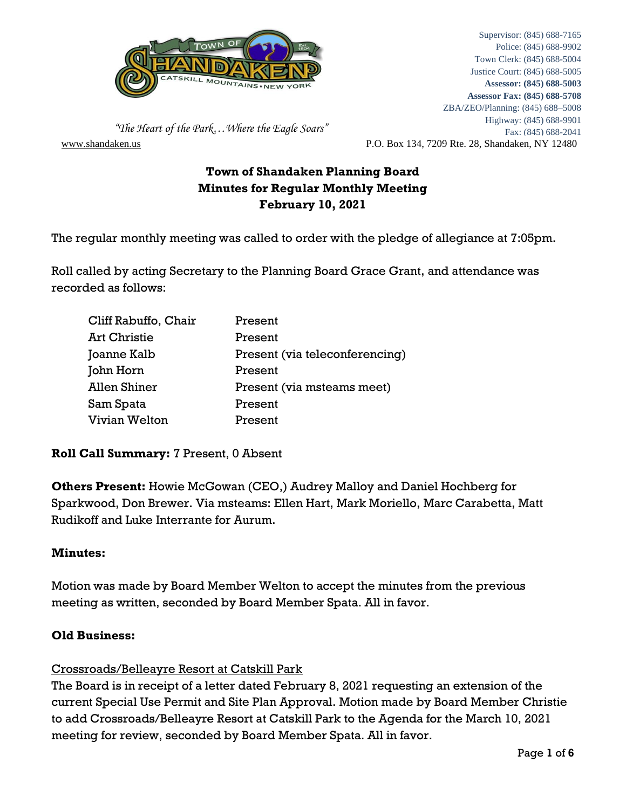

[www.shandaken.us](http://www.shandaken.us/) P.O. Box 134, 7209 Rte. 28, Shandaken, NY 12480 Supervisor: (845) 688-7165 Police: (845) 688-9902 Town Clerk: (845) 688-5004 Justice Court: (845) 688-5005 **Assessor: (845) 688-5003 Assessor Fax: (845) 688-5708** ZBA/ZEO/Planning: (845) 688–5008 Highway: (845) 688-9901 Fax: (845) 688-2041

 *"The Heart of the Park…Where the Eagle Soars"*

# **Town of Shandaken Planning Board Minutes for Regular Monthly Meeting February 10, 2021**

The regular monthly meeting was called to order with the pledge of allegiance at 7:05pm.

Roll called by acting Secretary to the Planning Board Grace Grant, and attendance was recorded as follows:

| Cliff Rabuffo, Chair | Present                        |
|----------------------|--------------------------------|
| <b>Art Christie</b>  | Present                        |
| Joanne Kalb          | Present (via teleconferencing) |
| John Horn            | Present                        |
| <b>Allen Shiner</b>  | Present (via msteams meet)     |
| Sam Spata            | Present                        |
| Vivian Welton        | Present                        |

# **Roll Call Summary:** 7 Present, 0 Absent

**Others Present:** Howie McGowan (CEO,) Audrey Malloy and Daniel Hochberg for Sparkwood, Don Brewer. Via msteams: Ellen Hart, Mark Moriello, Marc Carabetta, Matt Rudikoff and Luke Interrante for Aurum.

### **Minutes:**

Motion was made by Board Member Welton to accept the minutes from the previous meeting as written, seconded by Board Member Spata. All in favor.

### **Old Business:**

### Crossroads/Belleayre Resort at Catskill Park

The Board is in receipt of a letter dated February 8, 2021 requesting an extension of the current Special Use Permit and Site Plan Approval. Motion made by Board Member Christie to add Crossroads/Belleayre Resort at Catskill Park to the Agenda for the March 10, 2021 meeting for review, seconded by Board Member Spata. All in favor.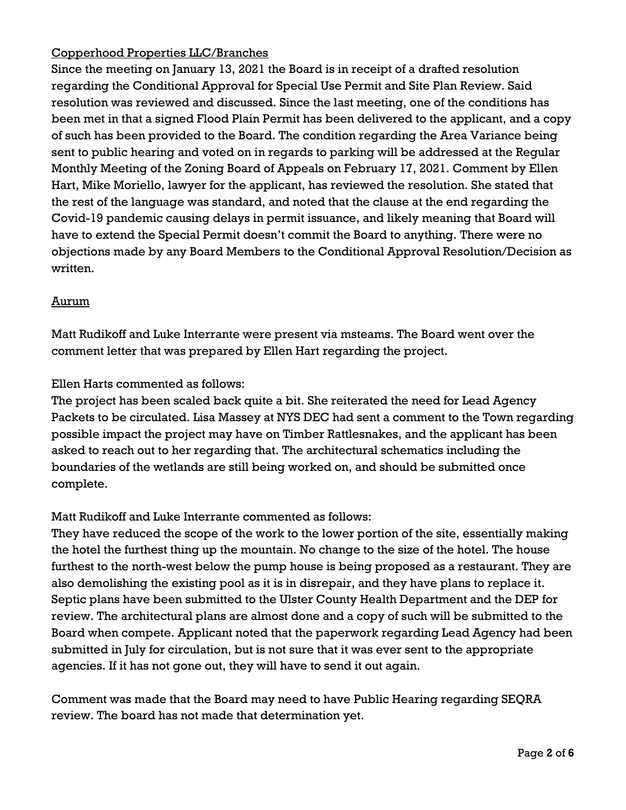# Copperhood Properties LLC/Branches

Since the meeting on January 13, 2021 the Board is in receipt of a drafted resolution regarding the Conditional Approval for Special Use Permit and Site Plan Review. Said resolution was reviewed and discussed. Since the last meeting, one of the conditions has been met in that a signed Flood Plain Permit has been delivered to the applicant, and a copy of such has been provided to the Board. The condition regarding the Area Variance being sent to public hearing and voted on in regards to parking will be addressed at the Regular Monthly Meeting of the Zoning Board of Appeals on February 17, 2021. Comment by Ellen Hart, Mike Moriello, lawyer for the applicant, has reviewed the resolution. She stated that the rest of the language was standard, and noted that the clause at the end regarding the Covid-19 pandemic causing delays in permit issuance, and likely meaning that Board will have to extend the Special Permit doesn't commit the Board to anything. There were no objections made by any Board Members to the Conditional Approval Resolution/Decision as written.

# Aurum

Matt Rudikoff and Luke Interrante were present via msteams. The Board went over the comment letter that was prepared by Ellen Hart regarding the project.

Ellen Harts commented as follows:

The project has been scaled back quite a bit. She reiterated the need for Lead Agency Packets to be circulated. Lisa Massey at NYS DEC had sent a comment to the Town regarding possible impact the project may have on Timber Rattlesnakes, and the applicant has been asked to reach out to her regarding that. The architectural schematics including the boundaries of the wetlands are still being worked on, and should be submitted once complete.

# Matt Rudikoff and Luke Interrante commented as follows:

They have reduced the scope of the work to the lower portion of the site, essentially making the hotel the furthest thing up the mountain. No change to the size of the hotel. The house furthest to the north-west below the pump house is being proposed as a restaurant. They are also demolishing the existing pool as it is in disrepair, and they have plans to replace it. Septic plans have been submitted to the Ulster County Health Department and the DEP for review. The architectural plans are almost done and a copy of such will be submitted to the Board when compete. Applicant noted that the paperwork regarding Lead Agency had been submitted in July for circulation, but is not sure that it was ever sent to the appropriate agencies. If it has not gone out, they will have to send it out again.

Comment was made that the Board may need to have Public Hearing regarding SEQRA review. The board has not made that determination yet.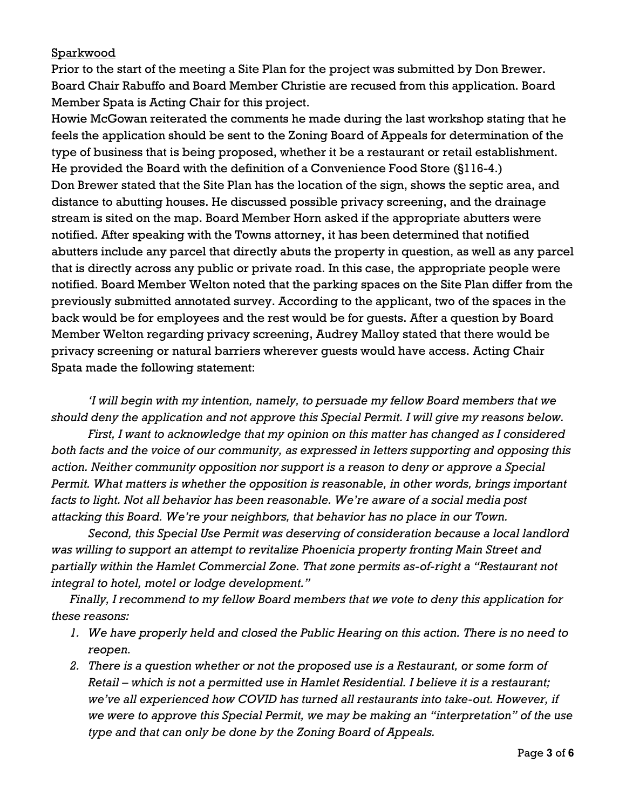### **Sparkwood**

Prior to the start of the meeting a Site Plan for the project was submitted by Don Brewer. Board Chair Rabuffo and Board Member Christie are recused from this application. Board Member Spata is Acting Chair for this project.

Howie McGowan reiterated the comments he made during the last workshop stating that he feels the application should be sent to the Zoning Board of Appeals for determination of the type of business that is being proposed, whether it be a restaurant or retail establishment. He provided the Board with the definition of a Convenience Food Store (§116-4.) Don Brewer stated that the Site Plan has the location of the sign, shows the septic area, and distance to abutting houses. He discussed possible privacy screening, and the drainage stream is sited on the map. Board Member Horn asked if the appropriate abutters were notified. After speaking with the Towns attorney, it has been determined that notified abutters include any parcel that directly abuts the property in question, as well as any parcel that is directly across any public or private road. In this case, the appropriate people were notified. Board Member Welton noted that the parking spaces on the Site Plan differ from the previously submitted annotated survey. According to the applicant, two of the spaces in the back would be for employees and the rest would be for guests. After a question by Board Member Welton regarding privacy screening, Audrey Malloy stated that there would be privacy screening or natural barriers wherever guests would have access. Acting Chair Spata made the following statement:

*'I will begin with my intention, namely, to persuade my fellow Board members that we should deny the application and not approve this Special Permit. I will give my reasons below.*

*First, I want to acknowledge that my opinion on this matter has changed as I considered both facts and the voice of our community, as expressed in letters supporting and opposing this action. Neither community opposition nor support is a reason to deny or approve a Special Permit. What matters is whether the opposition is reasonable, in other words, brings important facts to light. Not all behavior has been reasonable. We're aware of a social media post attacking this Board. We're your neighbors, that behavior has no place in our Town.*

*Second, this Special Use Permit was deserving of consideration because a local landlord was willing to support an attempt to revitalize Phoenicia property fronting Main Street and partially within the Hamlet Commercial Zone. That zone permits as-of-right a "Restaurant not integral to hotel, motel or lodge development."*

*Finally, I recommend to my fellow Board members that we vote to deny this application for these reasons:*

- *1. We have properly held and closed the Public Hearing on this action. There is no need to reopen.*
- *2. There is a question whether or not the proposed use is a Restaurant, or some form of Retail – which is not a permitted use in Hamlet Residential. I believe it is a restaurant; we've all experienced how COVID has turned all restaurants into take-out. However, if we were to approve this Special Permit, we may be making an "interpretation" of the use type and that can only be done by the Zoning Board of Appeals.*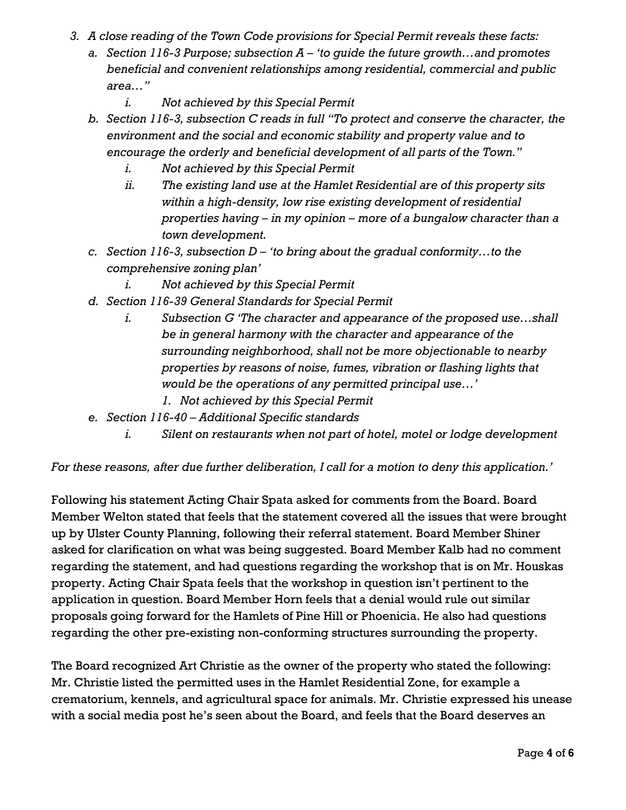- *3. A close reading of the Town Code provisions for Special Permit reveals these facts:*
	- *a. Section 116-3 Purpose; subsection A – 'to guide the future growth…and promotes beneficial and convenient relationships among residential, commercial and public area…"*
		- *i. Not achieved by this Special Permit*
	- *b. Section 116-3, subsection C reads in full "To protect and conserve the character, the environment and the social and economic stability and property value and to encourage the orderly and beneficial development of all parts of the Town."*
		- *i. Not achieved by this Special Permit*
		- *ii. The existing land use at the Hamlet Residential are of this property sits within a high-density, low rise existing development of residential properties having – in my opinion – more of a bungalow character than a town development.*
	- *c. Section 116-3, subsection D – 'to bring about the gradual conformity…to the comprehensive zoning plan'*
		- *i. Not achieved by this Special Permit*
	- *d. Section 116-39 General Standards for Special Permit*
		- *i. Subsection G 'The character and appearance of the proposed use…shall be in general harmony with the character and appearance of the surrounding neighborhood, shall not be more objectionable to nearby properties by reasons of noise, fumes, vibration or flashing lights that would be the operations of any permitted principal use…'*
			- *1. Not achieved by this Special Permit*
	- *e. Section 116-40 – Additional Specific standards*
		- *i. Silent on restaurants when not part of hotel, motel or lodge development*

*For these reasons, after due further deliberation, I call for a motion to deny this application.'*

Following his statement Acting Chair Spata asked for comments from the Board. Board Member Welton stated that feels that the statement covered all the issues that were brought up by Ulster County Planning, following their referral statement. Board Member Shiner asked for clarification on what was being suggested. Board Member Kalb had no comment regarding the statement, and had questions regarding the workshop that is on Mr. Houskas property. Acting Chair Spata feels that the workshop in question isn't pertinent to the application in question. Board Member Horn feels that a denial would rule out similar proposals going forward for the Hamlets of Pine Hill or Phoenicia. He also had questions regarding the other pre-existing non-conforming structures surrounding the property.

The Board recognized Art Christie as the owner of the property who stated the following: Mr. Christie listed the permitted uses in the Hamlet Residential Zone, for example a crematorium, kennels, and agricultural space for animals. Mr. Christie expressed his unease with a social media post he's seen about the Board, and feels that the Board deserves an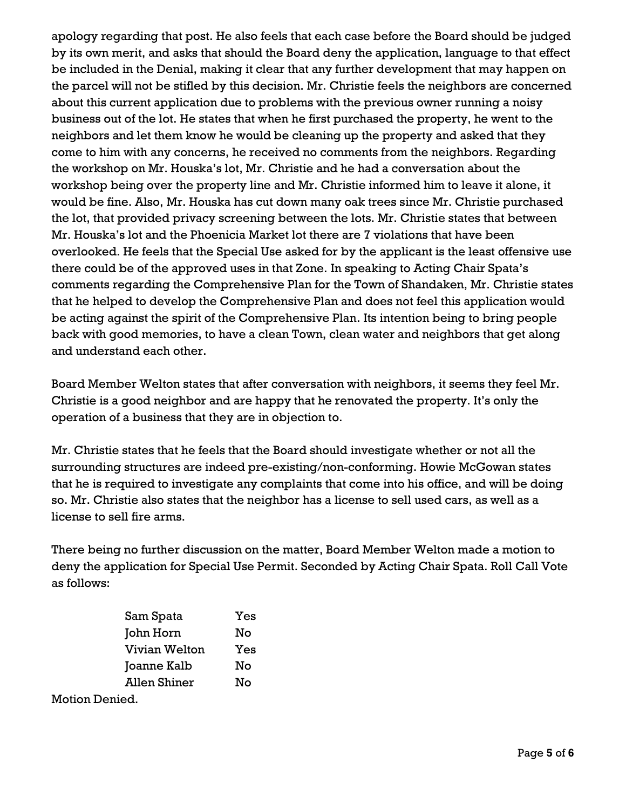apology regarding that post. He also feels that each case before the Board should be judged by its own merit, and asks that should the Board deny the application, language to that effect be included in the Denial, making it clear that any further development that may happen on the parcel will not be stifled by this decision. Mr. Christie feels the neighbors are concerned about this current application due to problems with the previous owner running a noisy business out of the lot. He states that when he first purchased the property, he went to the neighbors and let them know he would be cleaning up the property and asked that they come to him with any concerns, he received no comments from the neighbors. Regarding the workshop on Mr. Houska's lot, Mr. Christie and he had a conversation about the workshop being over the property line and Mr. Christie informed him to leave it alone, it would be fine. Also, Mr. Houska has cut down many oak trees since Mr. Christie purchased the lot, that provided privacy screening between the lots. Mr. Christie states that between Mr. Houska's lot and the Phoenicia Market lot there are 7 violations that have been overlooked. He feels that the Special Use asked for by the applicant is the least offensive use there could be of the approved uses in that Zone. In speaking to Acting Chair Spata's comments regarding the Comprehensive Plan for the Town of Shandaken, Mr. Christie states that he helped to develop the Comprehensive Plan and does not feel this application would be acting against the spirit of the Comprehensive Plan. Its intention being to bring people back with good memories, to have a clean Town, clean water and neighbors that get along and understand each other.

Board Member Welton states that after conversation with neighbors, it seems they feel Mr. Christie is a good neighbor and are happy that he renovated the property. It's only the operation of a business that they are in objection to.

Mr. Christie states that he feels that the Board should investigate whether or not all the surrounding structures are indeed pre-existing/non-conforming. Howie McGowan states that he is required to investigate any complaints that come into his office, and will be doing so. Mr. Christie also states that the neighbor has a license to sell used cars, as well as a license to sell fire arms.

There being no further discussion on the matter, Board Member Welton made a motion to deny the application for Special Use Permit. Seconded by Acting Chair Spata. Roll Call Vote as follows:

| Sam Spata           |  | Yes |
|---------------------|--|-----|
| John Horn           |  | No  |
| Vivian Welton       |  | Yes |
| Joanne Kalb         |  | No  |
| <b>Allen Shiner</b> |  | No  |
|                     |  |     |

Motion Denied.